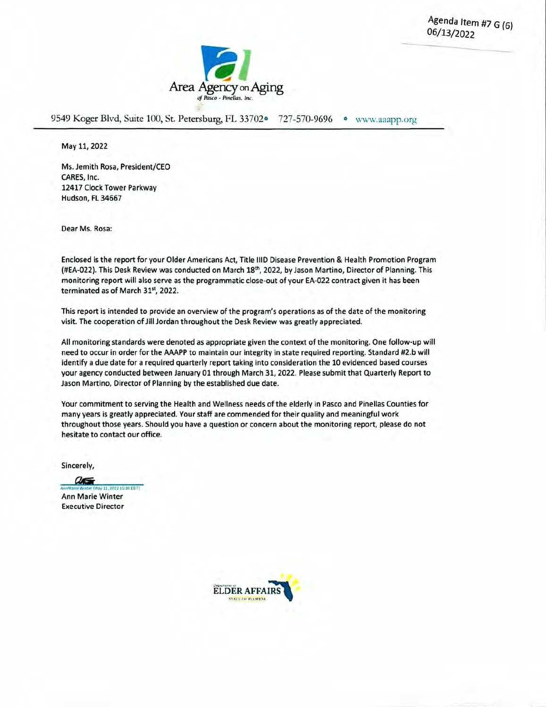Agenda Item #7 G (6) 06/13/2022



9549 Koger Blvd, Suite 100, St. Petersburg, FL 33702<sup>o</sup> 727-570-9696 · www.aaapp.org

May 11, 2022

Ms. Jemith Rosa, President/CEO CARES, Inc. 12417 Clock Tower Parkway Hudson, Ft. 34667

Dear Ms. Rosa:

Enclosed is the report for your Older Americans Act, Title IlID Disease Prevention & Health Promotion Program (#EA-022). This Desk Review was conducted on March 18<sup>th</sup>, 2022, by Jason Martino, Director of Planning. This monitoring report will also serve as the programmatic close-out of your EA-022 contract given it has been terminated as of March 31st, 2022.

This report is intended to provide an overview of the program's operations as of the date of the monitoring visit. The cooperation of Jill Jordan throughout the Desk Review was greatly appreciated.

All monitoring standards were denoted as appropriate given the context of the monitoring. One follow-up will need to occur in order for the AAAPP to maintain our integrity in state required reporting. Standard #2.b will identify a due date for a required quarterly report taking into consideration the 10 evidenced based courses your agency conducted between January01 through March 31, 2022. Please submit that Quarterly Report to Jason Martino, Director of Planning by the established due date.

Your commitment to serving the Health and Weliness needs of the elderly in Pasco and Pinellas Counties for many years is greatly appreciated. Your staff are commended for their quality and meaningful work throughout those years. Should you have a question or concern about the monitoring report, please do not hesitate to contact our office.

Sincerely,

 $a =$ 11.002215:30 FDT1 Ann Marie Winter Executive Director

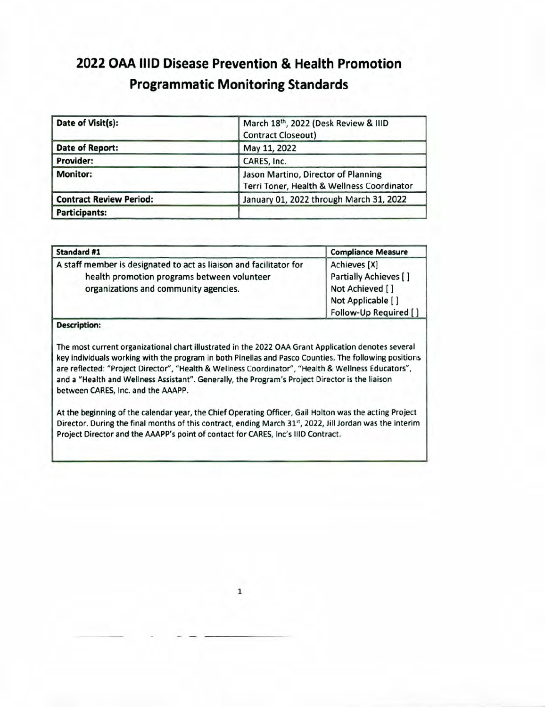# **2022 OAA hID Disease Prevention & Health Promotion Programmatic Monitoring Standards**

| Date of Visit(s):              | March 18th, 2022 (Desk Review & IIID<br><b>Contract Closeout)</b>                 |  |  |
|--------------------------------|-----------------------------------------------------------------------------------|--|--|
| <b>Date of Report:</b>         | May 11, 2022                                                                      |  |  |
| Provider:                      | CARES, Inc.                                                                       |  |  |
| <b>Monitor:</b>                | Jason Martino, Director of Planning<br>Terri Toner, Health & Wellness Coordinator |  |  |
| <b>Contract Review Period:</b> | January 01, 2022 through March 31, 2022                                           |  |  |
| <b>Participants:</b>           |                                                                                   |  |  |

| Standard #1                                                                                                                                                | <b>Compliance Measure</b>                                                                              |  |  |
|------------------------------------------------------------------------------------------------------------------------------------------------------------|--------------------------------------------------------------------------------------------------------|--|--|
| A staff member is designated to act as liaison and facilitator for<br>health promotion programs between volunteer<br>organizations and community agencies. | Achieves [X]<br>Partially Achieves []<br>Not Achieved []<br>Not Applicable []<br>Follow-Up Required [] |  |  |

#### **Description:**

The most current organizational chart illustrated in the 2022 OAA Grant Application denotes several key individuals working with the program in both Pinellas and Pasco Counties. The following positions are reflected: "Project Director", "Health & Weliness Coordinator", "Health & Wellness Educators", and a "Health and Wellness Assistant". Generally, the Program's Project Director is the liaison between CARES, Inc. and the AAAPP.

At the beginning of the calendar year, the Chief Operating Officer, Gail Holton was the acting Project Director. During the final months of this contract, ending March 31st, 2022, Jill Jordan was the interim Project Director and the AAAPP's point of contact for CARES, Inc's 1110 Contract.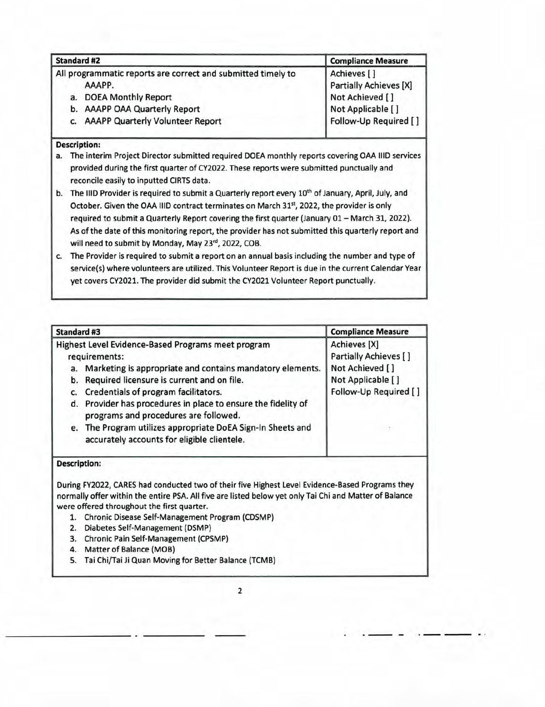| <b>Standard #2</b>                                           | <b>Compliance Measure</b> |  |  |
|--------------------------------------------------------------|---------------------------|--|--|
| All programmatic reports are correct and submitted timely to | Achieves []               |  |  |
| AAAPP.                                                       | Partially Achieves [X]    |  |  |
| <b>DOEA Monthly Report</b><br>a.                             | Not Achieved []           |  |  |
| b. AAAPP OAA Quarterly Report                                | Not Applicable []         |  |  |
| c. AAAPP Quarterly Volunteer Report                          | Follow-Up Required []     |  |  |

- a. The interim Project Director submitted required DOEA monthly reports covering OAA lID services provided during the first quarter of CY2022. These reports were submitted punctually and reconcile easily to inputted CIRTS data.
- b. The IIID Provider is required to submit a Quarterly report every 10<sup>th</sup> of January, April, July, and October. Given the OAA IIID contract terminates on March 31st, 2022, the provider is only required to submit a Quarterly Report covering the first quarter (January 01— March 31, 2022). As of the date of this monitoring report, the provider has not submitted this quarterly report and will need to submit by Monday, May 23rd, 2022, COB.
- c. The Provider is required to submit a report on an annual basis including the number and type of service(s) where volunteers are utilized. This Volunteer Report is due in the current Calendar Year yet covers CY2021. The provider did submit the CY2021 Volunteer Report punctually.

| Standard #3                                                                                                                                                                                                                                                                                                                                                                                                                                                                                                                   | <b>Compliance Measure</b>                                                                              |
|-------------------------------------------------------------------------------------------------------------------------------------------------------------------------------------------------------------------------------------------------------------------------------------------------------------------------------------------------------------------------------------------------------------------------------------------------------------------------------------------------------------------------------|--------------------------------------------------------------------------------------------------------|
| Highest Level Evidence-Based Programs meet program<br>requirements:<br>a. Marketing is appropriate and contains mandatory elements.<br>Required licensure is current and on file.<br>b.<br>Credentials of program facilitators.<br>C.<br>Provider has procedures in place to ensure the fidelity of<br>d.<br>programs and procedures are followed.<br>e. The Program utilizes appropriate DoEA Sign-In Sheets and<br>accurately accounts for eligible clientele.                                                              | Achieves [X]<br>Partially Achieves []<br>Not Achieved []<br>Not Applicable []<br>Follow-Up Required [] |
| <b>Description:</b><br>During FY2022, CARES had conducted two of their five Highest Level Evidence-Based Programs they<br>normally offer within the entire PSA. All five are listed below yet only Tai Chi and Matter of Balance<br>were offered throughout the first quarter.<br>Chronic Disease Self-Management Program (CDSMP)<br>1.<br>Diabetes Self-Management (DSMP)<br>2.<br>Chronic Pain Self-Management (CPSMP)<br>3.<br>Matter of Balance (MOB)<br>4.<br>Tai Chi/Tai Ji Quan Moving for Better Balance (TCMB)<br>5. |                                                                                                        |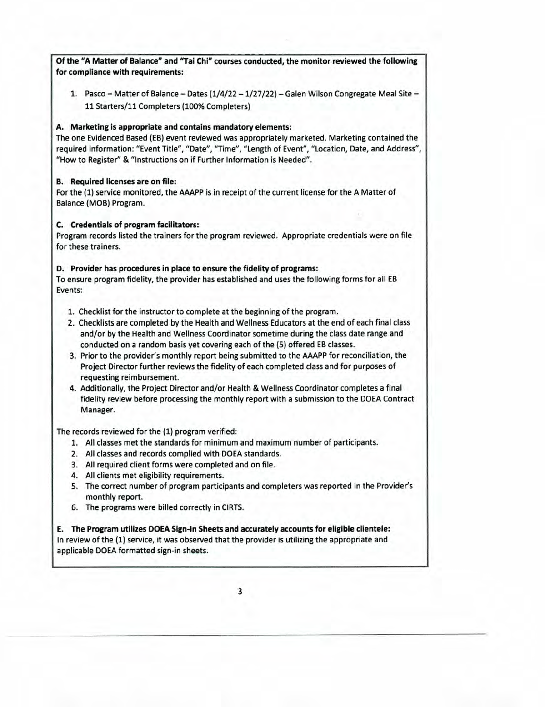**Of the "A Matter of Balance" and "Tal Chi" courses conducted, the monitor reviewed the following for compliance with requirements:**  1. Pasco — Matter of Balance — Dates (1/4/22 — 1/27/22) — Galen Wilson Congregate Meal Site — 11 Starters/il Completers (100% Completers) **A.** Marketing is **appropriate and contains mandatory elements:**  The one Evidenced Based (EB) event reviewed was appropriately marketed. Marketing contained the required information: "Event Title", "Date", "Time", "Length of Event", "Location, Date, and Address", "How to Register" & "Instructions on if Further Information is Needed". **B. Required licenses** are on file: For the (1) service monitored, the AAAPP is in receipt of the current license for the A Matter of Balance (MOB) Program. C. Credentials of program facilitators: Program records listed the trainers for the program reviewed. Appropriate credentials were on file for these trainers. **D. Provider has procedures in place to ensure the fidelity of programs:**  To ensure program fidelity, the provider has established and uses the following forms for all EB Events:

- 1. Checklist for the instructor to complete at the beginning of the program.
- 2. Checklists are completed by the Health and Weilness Educators at the end of each final class and/or by the Health and Weilness Coordinator sometime during the class date range and conducted on a random basis yet covering each of the (5) offered EB classes.
- 3. Prior to the provider's monthly report being submitted to the AAAPP for reconciliation, the Project Director further reviews the fidelity of each completed class and for purposes of requesting reimbursement.
- 4. Additionally, the Project Director and/or Health & Weliness Coordinator completes a final fidelity review before processing the monthly report with a submission to the DOEA Contract Manager.

The records reviewed for the (1) program verified:

- 1. All classes met the standards for minimum and maximum number of participants.
- 2. All classes and records complied with DOEA standards.
- 3. All required client forms were completed and on file.
- 4. All clients met eligibility requirements.
- 5. The correct number of program participants and completers was reported in the Provider's monthly report.
- 6. The programs were billed correctly in CIRTS.

**E. The Program utilizes DOEA Sign-In Sheets and accurately accounts for eligible clientele:**  In review of the (1) service, it was observed that the provider is utilizing the appropriate and applicable DOEA formatted sign-in sheets.

3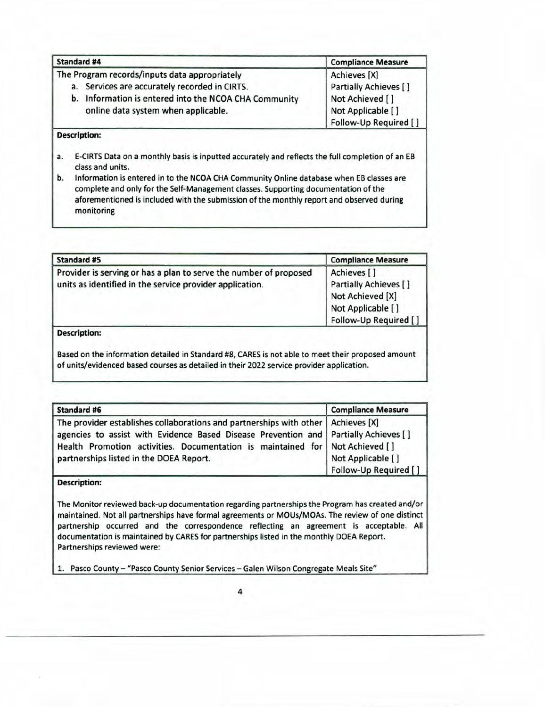| <b>Standard #4</b>                                    | <b>Compliance Measure</b> |  |  |
|-------------------------------------------------------|---------------------------|--|--|
| The Program records/inputs data appropriately         | Achieves [X]              |  |  |
| a. Services are accurately recorded in CIRTS.         | Partially Achieves []     |  |  |
| b. Information is entered into the NCOA CHA Community | Not Achieved []           |  |  |
| online data system when applicable.                   | Not Applicable []         |  |  |
|                                                       | Follow-Up Required []     |  |  |

- E-CIRTS Data on a monthly basis is inputted accurately and reflects the full completion of an EB a. class and units.
- b. Information is entered in to the NCOA CHA Community Online database when EB classes are complete and only for the Self-Management classes. Supporting documentation of the aforementioned is included with the submission of the monthly report and observed during monitoring

| <b>Standard #5</b>                                                                                                                                                                            | <b>Compliance Measure</b>                                                                              |  |
|-----------------------------------------------------------------------------------------------------------------------------------------------------------------------------------------------|--------------------------------------------------------------------------------------------------------|--|
| Provider is serving or has a plan to serve the number of proposed<br>units as identified in the service provider application.                                                                 | Achieves []<br>Partially Achieves []<br>Not Achieved [X]<br>Not Applicable []<br>Follow-Up Required [] |  |
| <b>Description:</b>                                                                                                                                                                           |                                                                                                        |  |
| Based on the information detailed in Standard #8, CARES is not able to meet their proposed amount<br>of units/evidenced based courses as detailed in their 2022 service provider application. |                                                                                                        |  |

| <b>Standard #6</b>                                                                                                                                                                                                                                                                                      | <b>Compliance Measure</b>                  |
|---------------------------------------------------------------------------------------------------------------------------------------------------------------------------------------------------------------------------------------------------------------------------------------------------------|--------------------------------------------|
| The provider establishes collaborations and partnerships with other   Achieves [X]<br>agencies to assist with Evidence Based Disease Prevention and   Partially Achieves [ ]<br>Health Promotion activities. Documentation is maintained for Not Achieved []<br>partnerships listed in the DOEA Report. | Not Applicable []<br>Follow-Up Required [] |

#### Description:

The Monitor reviewed back-up documentation regarding partnerships the Program has created and/or maintained. Not all partnerships have formal agreements or MOUs/MOAs. The review of one distinct partnership occurred and the correspondence reflecting an agreement is acceptable. All documentation is maintained by CARES for partnerships listed in the monthly DOEA Report. Partnerships reviewed were:

1. Pasco County — "Pasco County Senior Services — Galen Wilson Congregate Meals Site"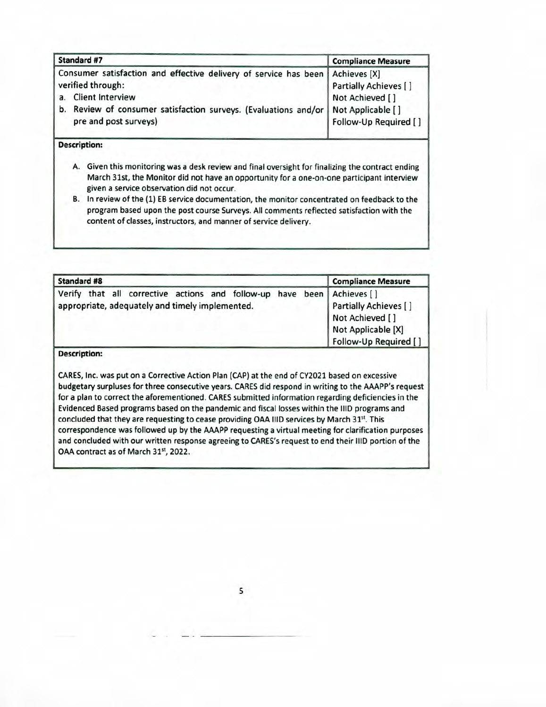| Standard #7                                                                                                                           | <b>Compliance Measure</b>                |  |  |
|---------------------------------------------------------------------------------------------------------------------------------------|------------------------------------------|--|--|
| Consumer satisfaction and effective delivery of service has been   Achieves [X]<br>verified through:<br><b>Client Interview</b><br>a. | Partially Achieves []<br>Not Achieved [] |  |  |
| b. Review of consumer satisfaction surveys. (Evaluations and/or   Not Applicable []<br>pre and post surveys)                          | Follow-Up Required []                    |  |  |

- A. Given this monitoring was a desk review and final oversight for finalizing the contract ending March 31st, the Monitor did not have an opportunity for a one-on-one participant interview given a service observation did not occur.
- B. In review of the (1) EB service documentation, the monitor concentrated on feedback to the program based upon the post course Surveys. All comments reflected satisfaction with the content of classes, instructors, and manner of service delivery.

| <b>Standard #8</b> |  |                                                 |  |  | <b>Compliance Measure</b>                                                                                                                                         |
|--------------------|--|-------------------------------------------------|--|--|-------------------------------------------------------------------------------------------------------------------------------------------------------------------|
|                    |  | appropriate, adequately and timely implemented. |  |  | Verify that all corrective actions and follow-up have been Achieves []<br>Partially Achieves []<br>Not Achieved []<br>Not Applicable [X]<br>Follow-Up Required [] |

#### **Description:**

CARES, Inc. was put on a Corrective Action Plan (CAP) at the end of CY2021 based on excessive budgetary surpluses for three consecutive years. CARES did respond in writing to the AAAPP's request for a plan to correct the aforementioned. CARES submitted information regarding deficiencies in the Evidenced Based programs based on the pandemic and fiscal losses within the lID programs and concluded that they are requesting to cease providing OAA IIID services by March 31st. This correspondence was followed up by the AAAPP requesting a virtual meeting for clarification purposes and concluded with our written response agreeing to CARES's request to end their IIID portion of the OAA contract as of March 31st, 2022.